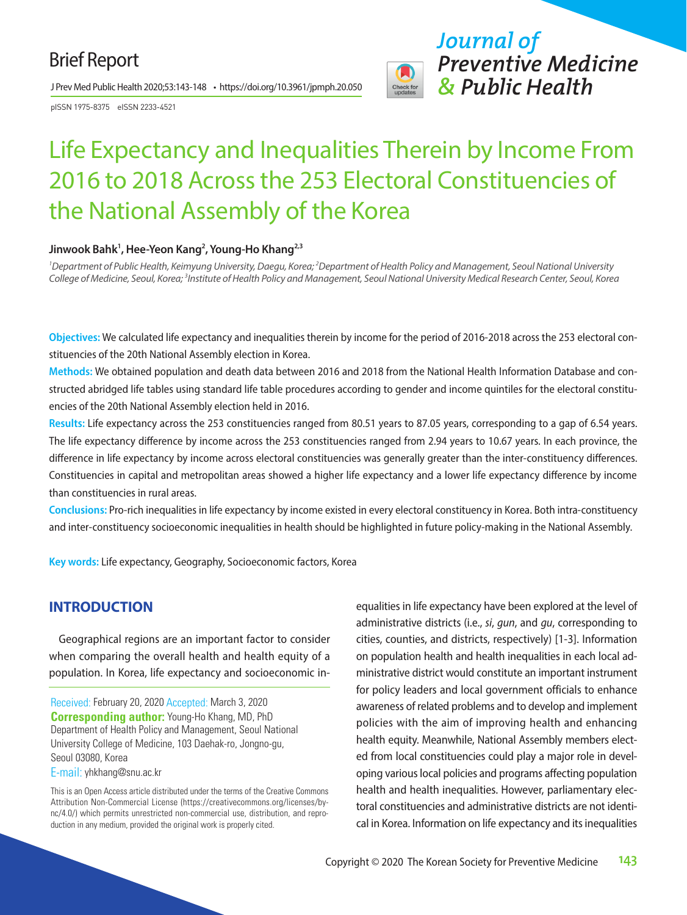# Brief Report

J Prev Med Public Health 2020;53:143-148 • https://doi.org/10.3961/jpmph.20.050

pISSN 1975-8375 eISSN 2233-4521



*Journal of Preventive Medicine & Public Health*

# Life Expectancy and Inequalities Therein by Income From 2016 to 2018 Across the 253 Electoral Constituencies of the National Assembly of the Korea

#### Jinwook Bahk<sup>1</sup>, Hee-Yeon Kang<sup>2</sup>, Young-Ho Khang<sup>2,3</sup>

<sup>1</sup> Department of Public Health, Keimyung University, Daegu, Korea; <sup>2</sup> Department of Health Policy and Management, Seoul National University College of Medicine, Seoul, Korea; <sup>3</sup>Institute of Health Policy and Management, Seoul National University Medical Research Center, Seoul, Korea

**Objectives:** We calculated life expectancy and inequalities therein by income for the period of 2016-2018 across the 253 electoral constituencies of the 20th National Assembly election in Korea.

**Methods:** We obtained population and death data between 2016 and 2018 from the National Health Information Database and constructed abridged life tables using standard life table procedures according to gender and income quintiles for the electoral constituencies of the 20th National Assembly election held in 2016.

**Results:** Life expectancy across the 253 constituencies ranged from 80.51 years to 87.05 years, corresponding to a gap of 6.54 years. The life expectancy difference by income across the 253 constituencies ranged from 2.94 years to 10.67 years. In each province, the difference in life expectancy by income across electoral constituencies was generally greater than the inter-constituency differences. Constituencies in capital and metropolitan areas showed a higher life expectancy and a lower life expectancy difference by income than constituencies in rural areas.

**Conclusions:** Pro-rich inequalities in life expectancy by income existed in every electoral constituency in Korea. Both intra-constituency and inter-constituency socioeconomic inequalities in health should be highlighted in future policy-making in the National Assembly.

**Key words:** Life expectancy, Geography, Socioeconomic factors, Korea

#### **INTRODUCTION**

Geographical regions are an important factor to consider when comparing the overall health and health equity of a population. In Korea, life expectancy and socioeconomic in-

Received: February 20, 2020 Accepted: March 3, 2020 **Corresponding author:** Young-Ho Khang, MD, PhD Department of Health Policy and Management, Seoul National University College of Medicine, 103 Daehak-ro, Jongno-gu, Seoul 03080, Korea

E-mail: yhkhang@snu.ac.kr

This is an Open Access article distributed under the terms of the Creative Commons Attribution Non-Commercial License (https://creativecommons.org/licenses/bync/4.0/) which permits unrestricted non-commercial use, distribution, and reproduction in any medium, provided the original work is properly cited.

equalities in life expectancy have been explored at the level of administrative districts (i.e., *si*, *gun*, and *gu*, corresponding to cities, counties, and districts, respectively) [1-3]. Information on population health and health inequalities in each local administrative district would constitute an important instrument for policy leaders and local government officials to enhance awareness of related problems and to develop and implement policies with the aim of improving health and enhancing health equity. Meanwhile, National Assembly members elected from local constituencies could play a major role in developing various local policies and programs affecting population health and health inequalities. However, parliamentary electoral constituencies and administrative districts are not identical in Korea. Information on life expectancy and its inequalities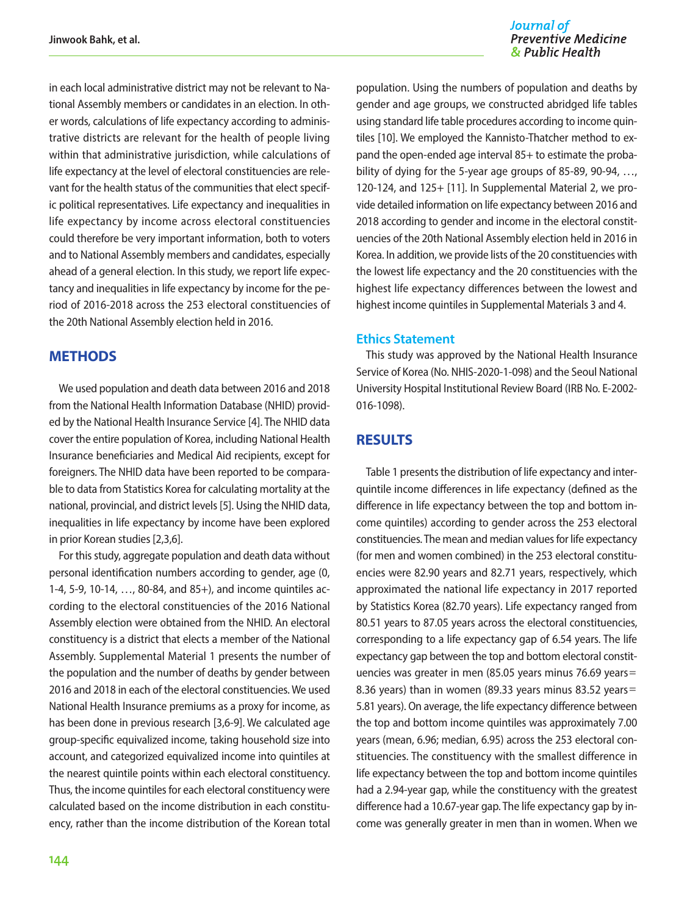in each local administrative district may not be relevant to National Assembly members or candidates in an election. In other words, calculations of life expectancy according to administrative districts are relevant for the health of people living within that administrative jurisdiction, while calculations of life expectancy at the level of electoral constituencies are relevant for the health status of the communities that elect specific political representatives. Life expectancy and inequalities in life expectancy by income across electoral constituencies could therefore be very important information, both to voters and to National Assembly members and candidates, especially ahead of a general election. In this study, we report life expectancy and inequalities in life expectancy by income for the period of 2016-2018 across the 253 electoral constituencies of the 20th National Assembly election held in 2016.

### **METHODS**

We used population and death data between 2016 and 2018 from the National Health Information Database (NHID) provided by the National Health Insurance Service [4]. The NHID data cover the entire population of Korea, including National Health Insurance beneficiaries and Medical Aid recipients, except for foreigners. The NHID data have been reported to be comparable to data from Statistics Korea for calculating mortality at the national, provincial, and district levels [5]. Using the NHID data, inequalities in life expectancy by income have been explored in prior Korean studies [2,3,6].

For this study, aggregate population and death data without personal identification numbers according to gender, age (0, 1-4, 5-9, 10-14, …, 80-84, and 85+), and income quintiles according to the electoral constituencies of the 2016 National Assembly election were obtained from the NHID. An electoral constituency is a district that elects a member of the National Assembly. Supplemental Material 1 presents the number of the population and the number of deaths by gender between 2016 and 2018 in each of the electoral constituencies. We used National Health Insurance premiums as a proxy for income, as has been done in previous research [3,6-9]. We calculated age group-specific equivalized income, taking household size into account, and categorized equivalized income into quintiles at the nearest quintile points within each electoral constituency. Thus, the income quintiles for each electoral constituency were calculated based on the income distribution in each constituency, rather than the income distribution of the Korean total

#### Journal of **Preventive Medicine** & Public Health

population. Using the numbers of population and deaths by gender and age groups, we constructed abridged life tables using standard life table procedures according to income quintiles [10]. We employed the Kannisto-Thatcher method to expand the open-ended age interval 85+ to estimate the probability of dying for the 5-year age groups of 85-89, 90-94, ..., 120-124, and 125+ [11]. In Supplemental Material 2, we provide detailed information on life expectancy between 2016 and 2018 according to gender and income in the electoral constituencies of the 20th National Assembly election held in 2016 in Korea. In addition, we provide lists of the 20 constituencies with the lowest life expectancy and the 20 constituencies with the highest life expectancy differences between the lowest and highest income quintiles in Supplemental Materials 3 and 4.

#### **Ethics Statement**

This study was approved by the National Health Insurance Service of Korea (No. NHIS-2020-1-098) and the Seoul National University Hospital Institutional Review Board (IRB No. E-2002- 016-1098).

#### **RESULTS**

Table 1 presents the distribution of life expectancy and interquintile income differences in life expectancy (defined as the difference in life expectancy between the top and bottom income quintiles) according to gender across the 253 electoral constituencies. The mean and median values for life expectancy (for men and women combined) in the 253 electoral constituencies were 82.90 years and 82.71 years, respectively, which approximated the national life expectancy in 2017 reported by Statistics Korea (82.70 years). Life expectancy ranged from 80.51 years to 87.05 years across the electoral constituencies, corresponding to a life expectancy gap of 6.54 years. The life expectancy gap between the top and bottom electoral constituencies was greater in men (85.05 years minus 76.69 years= 8.36 years) than in women (89.33 years minus 83.52 years= 5.81 years). On average, the life expectancy difference between the top and bottom income quintiles was approximately 7.00 years (mean, 6.96; median, 6.95) across the 253 electoral constituencies. The constituency with the smallest difference in life expectancy between the top and bottom income quintiles had a 2.94-year gap, while the constituency with the greatest difference had a 10.67-year gap. The life expectancy gap by income was generally greater in men than in women. When we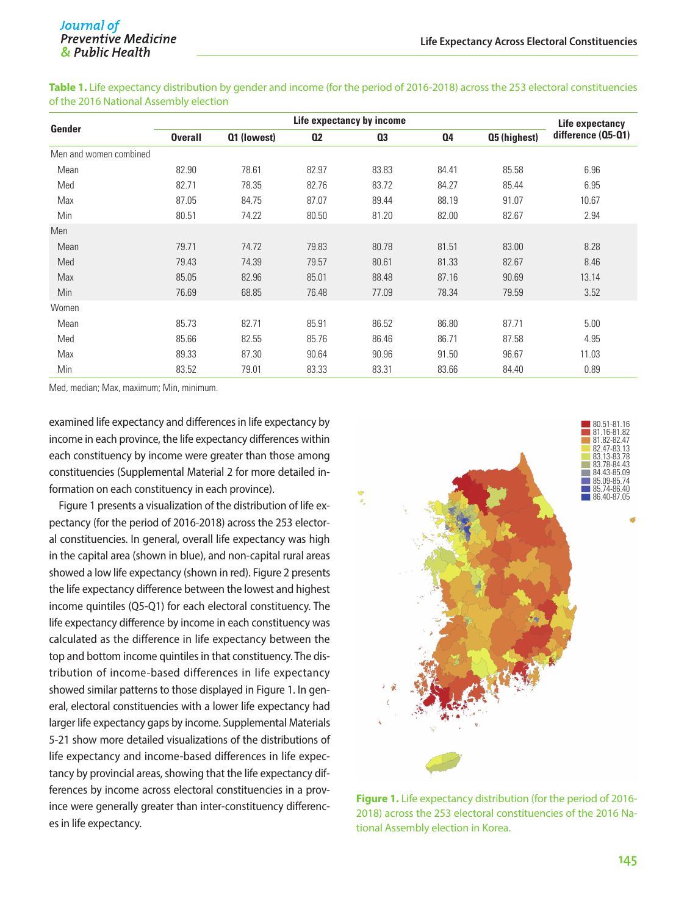**Gender Life expectancy by income Life expectancy Life expectancy Life expectancy Overall Q1 (lowest) Q2 Q3 Q4 Q5 (highest) difference (Q5-Q1)** Men and women combined Mean 82.90 78.61 82.97 83.83 84.41 85.58 6.96 Med 82.71 78.35 82.76 83.72 84.27 85.44 6.95 Max 87.05 84.75 87.07 89.44 88.19 91.07 10.67 Min 80.51 74.22 80.50 81.20 82.00 82.67 2.94 Men Mean 79.71 74.72 79.83 80.78 81.51 83.00 8.28 Med 79.43 74.39 79.57 80.61 81.33 82.67 8.46 Max 85.05 82.96 85.01 88.48 87.16 90.69 13.14 Min 76.69 68.85 76.48 77.09 78.34 79.59 3.52 Women Mean 85.73 82.71 85.91 86.52 86.80 87.71 5.00 Med 85.66 82.55 85.76 86.46 86.71 87.58 4.95 Max 89.33 87.30 90.64 90.96 91.50 96.67 11.03 Min 83.52 79.01 83.33 83.31 83.66 84.40 0.89

**Table 1.** Life expectancy distribution by gender and income (for the period of 2016-2018) across the 253 electoral constituencies of the 2016 National Assembly election

Med, median; Max, maximum; Min, minimum.

examined life expectancy and differences in life expectancy by income in each province, the life expectancy differences within each constituency by income were greater than those among constituencies (Supplemental Material 2 for more detailed information on each constituency in each province).

Figure 1 presents a visualization of the distribution of life expectancy (for the period of 2016-2018) across the 253 electoral constituencies. In general, overall life expectancy was high in the capital area (shown in blue), and non-capital rural areas showed a low life expectancy (shown in red). Figure 2 presents the life expectancy difference between the lowest and highest income quintiles (Q5-Q1) for each electoral constituency. The life expectancy difference by income in each constituency was calculated as the difference in life expectancy between the top and bottom income quintiles in that constituency. The distribution of income-based differences in life expectancy showed similar patterns to those displayed in Figure 1. In general, electoral constituencies with a lower life expectancy had larger life expectancy gaps by income. Supplemental Materials 5-21 show more detailed visualizations of the distributions of life expectancy and income-based differences in life expectancy by provincial areas, showing that the life expectancy differences by income across electoral constituencies in a province were generally greater than inter-constituency differences in life expectancy.



**Figure 1.** Life expectancy distribution (for the period of 2016- 2018) across the 253 electoral constituencies of the 2016 National Assembly election in Korea.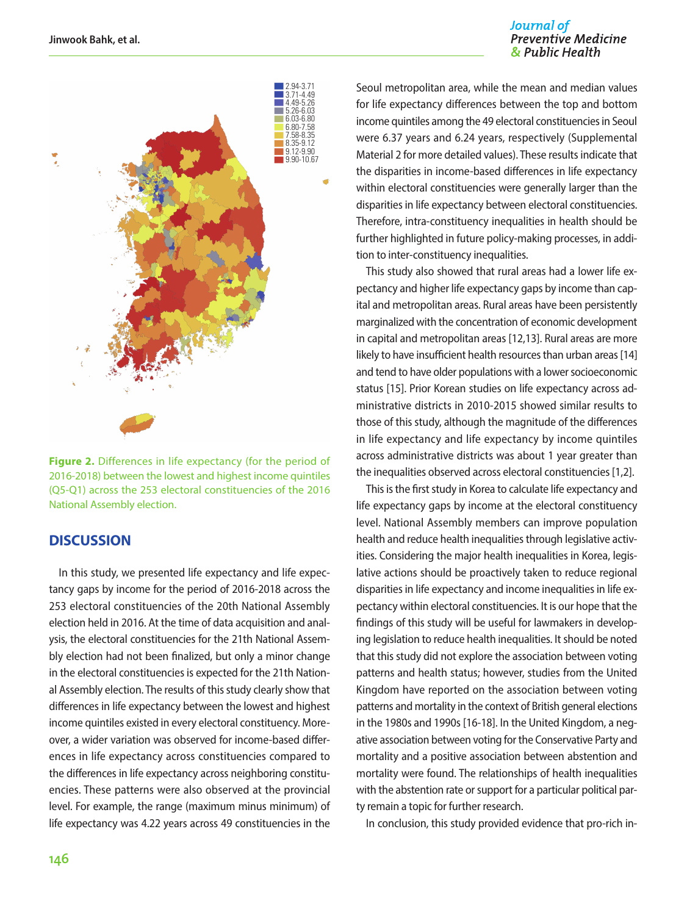#### Journal of **Preventive Medicine** & Public Health



**Figure 2.** Differences in life expectancy (for the period of 2016-2018) between the lowest and highest income quintiles (Q5-Q1) across the 253 electoral constituencies of the 2016 National Assembly election.

#### **DISCUSSION**

In this study, we presented life expectancy and life expectancy gaps by income for the period of 2016-2018 across the 253 electoral constituencies of the 20th National Assembly election held in 2016. At the time of data acquisition and analysis, the electoral constituencies for the 21th National Assembly election had not been finalized, but only a minor change in the electoral constituencies is expected for the 21th National Assembly election. The results of this study clearly show that differences in life expectancy between the lowest and highest income quintiles existed in every electoral constituency. Moreover, a wider variation was observed for income-based differences in life expectancy across constituencies compared to the differences in life expectancy across neighboring constituencies. These patterns were also observed at the provincial level. For example, the range (maximum minus minimum) of life expectancy was 4.22 years across 49 constituencies in the

Seoul metropolitan area, while the mean and median values for life expectancy differences between the top and bottom income quintiles among the 49 electoral constituencies in Seoul were 6.37 years and 6.24 years, respectively (Supplemental Material 2 for more detailed values). These results indicate that the disparities in income-based differences in life expectancy within electoral constituencies were generally larger than the disparities in life expectancy between electoral constituencies. Therefore, intra-constituency inequalities in health should be further highlighted in future policy-making processes, in addition to inter-constituency inequalities.

This study also showed that rural areas had a lower life expectancy and higher life expectancy gaps by income than capital and metropolitan areas. Rural areas have been persistently marginalized with the concentration of economic development in capital and metropolitan areas [12,13]. Rural areas are more likely to have insufficient health resources than urban areas [14] and tend to have older populations with a lower socioeconomic status [15]. Prior Korean studies on life expectancy across administrative districts in 2010-2015 showed similar results to those of this study, although the magnitude of the differences in life expectancy and life expectancy by income quintiles across administrative districts was about 1 year greater than the inequalities observed across electoral constituencies [1,2].

This is the first study in Korea to calculate life expectancy and life expectancy gaps by income at the electoral constituency level. National Assembly members can improve population health and reduce health inequalities through legislative activities. Considering the major health inequalities in Korea, legislative actions should be proactively taken to reduce regional disparities in life expectancy and income inequalities in life expectancy within electoral constituencies. It is our hope that the findings of this study will be useful for lawmakers in developing legislation to reduce health inequalities. It should be noted that this study did not explore the association between voting patterns and health status; however, studies from the United Kingdom have reported on the association between voting patterns and mortality in the context of British general elections in the 1980s and 1990s [16-18]. In the United Kingdom, a negative association between voting for the Conservative Party and mortality and a positive association between abstention and mortality were found. The relationships of health inequalities with the abstention rate or support for a particular political party remain a topic for further research.

In conclusion, this study provided evidence that pro-rich in-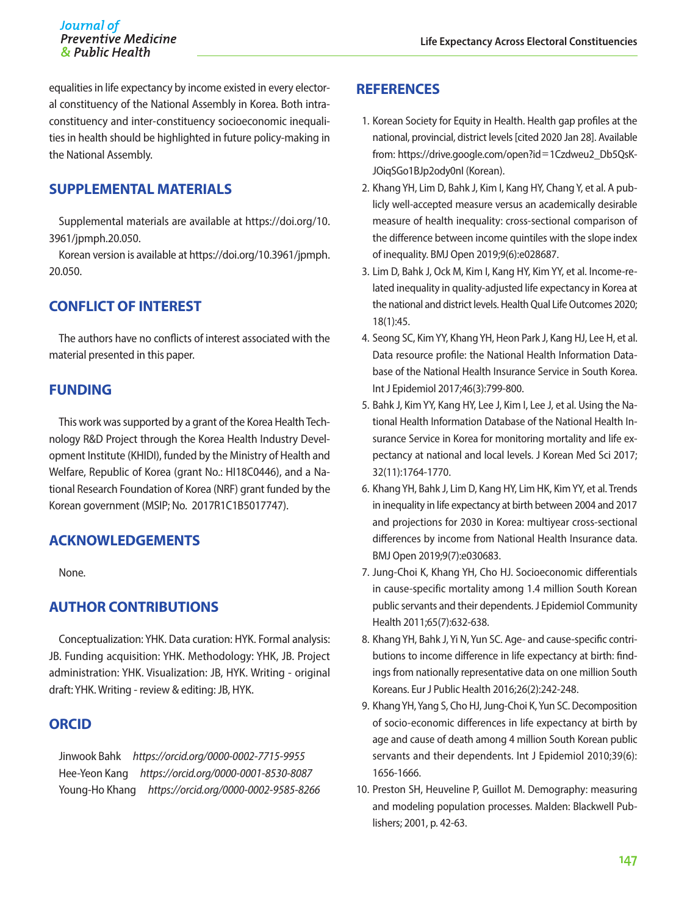#### Journal of **Preventive Medicine** & Public Health

equalities in life expectancy by income existed in every electoral constituency of the National Assembly in Korea. Both intraconstituency and inter-constituency socioeconomic inequalities in health should be highlighted in future policy-making in the National Assembly.

# **SUPPLEMENTAL MATERIALS**

Supplemental materials are available at [https://doi.org/10.](https://doi.org/10.3961/jpmph.20.050) [3961/jpmph.20.050.](https://doi.org/10.3961/jpmph.20.050)

Korean version is available at [https://doi.org/10.3961/jpmph.](https://doi.org/10.3961/jpmph.20.050) [20.050.](https://doi.org/10.3961/jpmph.20.050)

# **CONFLICT OF INTEREST**

The authors have no conflicts of interest associated with the material presented in this paper.

### **FUNDING**

This work was supported by a grant of the Korea Health Technology R&D Project through the Korea Health Industry Development Institute (KHIDI), funded by the Ministry of Health and Welfare, Republic of Korea (grant No.: HI18C0446), and a National Research Foundation of Korea (NRF) grant funded by the Korean government (MSIP; No. 2017R1C1B5017747).

# **ACKNOWLEDGEMENTS**

None.

# **AUTHOR CONTRIBUTIONS**

Conceptualization: YHK. Data curation: HYK. Formal analysis: JB. Funding acquisition: YHK. Methodology: YHK, JB. Project administration: YHK. Visualization: JB, HYK. Writing - original draft: YHK. Writing - review & editing: JB, HYK.

#### **ORCID**

Jinwook Bahk *https://orcid.org/0000-0002-7715-9955*  Hee-Yeon Kang *https://orcid.org/0000-0001-8530-8087* Young-Ho Khang *https://orcid.org/0000-0002-9585-8266*

# **REFERENCES**

- 1. Korean Society for Equity in Health. Health gap profiles at the national, provincial, district levels [cited 2020 Jan 28]. Available from: [https://drive.google.com/open?id](https://drive.google.com/open%3Fid%3D1Czdweu2_Db5QsKJOiqSGo1BJp2ody0nI)=1Czdweu2\_Db5QsK-[JOiqSGo1BJp2ody0nI](https://drive.google.com/open%3Fid%3D1Czdweu2_Db5QsKJOiqSGo1BJp2ody0nI) (Korean).
- 2. Khang YH, Lim D, Bahk J, Kim I, Kang HY, Chang Y, et al. A publicly well-accepted measure versus an academically desirable measure of health inequality: cross-sectional comparison of the difference between income quintiles with the slope index of inequality. BMJ Open 2019;9(6):e028687.
- 3. Lim D, Bahk J, Ock M, Kim I, Kang HY, Kim YY, et al. Income-related inequality in quality-adjusted life expectancy in Korea at the national and district levels. Health Qual Life Outcomes 2020; 18(1):45.
- 4. Seong SC, Kim YY, Khang YH, Heon Park J, Kang HJ, Lee H, et al. Data resource profile: the National Health Information Database of the National Health Insurance Service in South Korea. Int J Epidemiol 2017;46(3):799-800.
- 5. Bahk J, Kim YY, Kang HY, Lee J, Kim I, Lee J, et al. Using the National Health Information Database of the National Health Insurance Service in Korea for monitoring mortality and life expectancy at national and local levels. J Korean Med Sci 2017; 32(11):1764-1770.
- 6. Khang YH, Bahk J, Lim D, Kang HY, Lim HK, Kim YY, et al. Trends in inequality in life expectancy at birth between 2004 and 2017 and projections for 2030 in Korea: multiyear cross-sectional differences by income from National Health Insurance data. BMJ Open 2019;9(7):e030683.
- 7. Jung-Choi K, Khang YH, Cho HJ. Socioeconomic differentials in cause-specific mortality among 1.4 million South Korean public servants and their dependents. J Epidemiol Community Health 2011;65(7):632-638.
- 8. Khang YH, Bahk J, Yi N, Yun SC. Age- and cause-specific contributions to income difference in life expectancy at birth: findings from nationally representative data on one million South Koreans. Eur J Public Health 2016;26(2):242-248.
- 9. Khang YH, Yang S, Cho HJ, Jung-Choi K, Yun SC. Decomposition of socio-economic differences in life expectancy at birth by age and cause of death among 4 million South Korean public servants and their dependents. Int J Epidemiol 2010;39(6): 1656-1666.
- 10. Preston SH, Heuveline P, Guillot M. Demography: measuring and modeling population processes. Malden: Blackwell Publishers; 2001, p. 42-63.